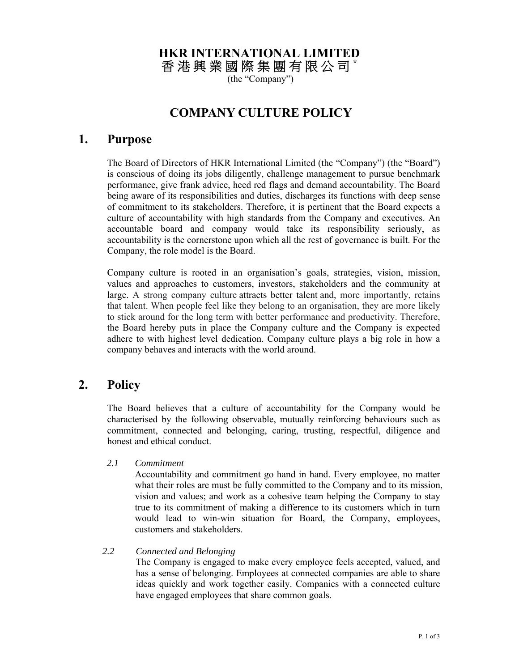# **HKR INTERNATIONAL LIMITED**

香 港 興 業 國 際 集 團 有 限 公 司 **\*** 

(the "Company")

# **COMPANY CULTURE POLICY**

### **1. Purpose**

The Board of Directors of HKR International Limited (the "Company") (the "Board") is conscious of doing its jobs diligently, challenge management to pursue benchmark performance, give frank advice, heed red flags and demand accountability. The Board being aware of its responsibilities and duties, discharges its functions with deep sense of commitment to its stakeholders. Therefore, it is pertinent that the Board expects a culture of accountability with high standards from the Company and executives. An accountable board and company would take its responsibility seriously, as accountability is the cornerstone upon which all the rest of governance is built. For the Company, the role model is the Board.

Company culture is rooted in an organisation's goals, strategies, vision, mission, values and approaches to customers, investors, stakeholders and the community at large. A strong company culture attracts better talent and, more importantly, retains that talent. When people feel like they belong to an organisation, they are more likely to stick around for the long term with better performance and productivity. Therefore, the Board hereby puts in place the Company culture and the Company is expected adhere to with highest level dedication. Company culture plays a big role in how a company behaves and interacts with the world around.

## **2. Policy**

The Board believes that a culture of accountability for the Company would be characterised by the following observable, mutually reinforcing behaviours such as commitment, connected and belonging, caring, trusting, respectful, diligence and honest and ethical conduct.

*2.1 Commitment* 

Accountability and commitment go hand in hand. Every employee, no matter what their roles are must be fully committed to the Company and to its mission, vision and values; and work as a cohesive team helping the Company to stay true to its commitment of making a difference to its customers which in turn would lead to win-win situation for Board, the Company, employees, customers and stakeholders.

#### *2.2 Connected and Belonging*

The Company is engaged to make every employee feels accepted, valued, and has a sense of belonging. Employees at connected companies are able to share ideas quickly and work together easily. Companies with a connected culture have engaged employees that share common goals.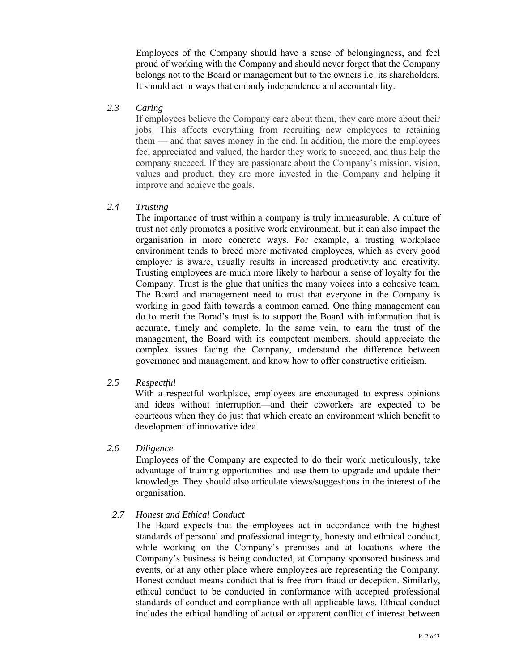Employees of the Company should have a sense of belongingness, and feel proud of working with the Company and should never forget that the Company belongs not to the Board or management but to the owners i.e. its shareholders. It should act in ways that embody independence and accountability.

#### *2.3 Caring*

If employees believe the Company care about them, they care more about their jobs. This affects everything from recruiting new employees to retaining them — and that saves money in the end. In addition, the more the employees feel appreciated and valued, the harder they work to succeed, and thus help the company succeed. If they are passionate about the Company's mission, vision, values and product, they are more invested in the Company and helping it improve and achieve the goals.

#### *2.4 Trusting*

The importance of trust within a company is truly immeasurable. A culture of trust not only promotes a positive work environment, but it can also impact the organisation in more concrete ways. For example, a trusting workplace environment tends to breed more motivated employees, which as every good employer is aware, usually results in increased productivity and creativity. Trusting employees are much more likely to harbour a sense of loyalty for the Company. Trust is the glue that unities the many voices into a cohesive team. The Board and management need to trust that everyone in the Company is working in good faith towards a common earned. One thing management can do to merit the Borad's trust is to support the Board with information that is accurate, timely and complete. In the same vein, to earn the trust of the management, the Board with its competent members, should appreciate the complex issues facing the Company, understand the difference between governance and management, and know how to offer constructive criticism.

#### *2.5 Respectful*

With a respectful workplace, employees are encouraged to express opinions and ideas without interruption—and their coworkers are expected to be courteous when they do just that which create an environment which benefit to development of innovative idea.

#### *2.6 Diligence*

Employees of the Company are expected to do their work meticulously, take advantage of training opportunities and use them to upgrade and update their knowledge. They should also articulate views/suggestions in the interest of the organisation.

#### *2.7 Honest and Ethical Conduct*

 The Board expects that the employees act in accordance with the highest standards of personal and professional integrity, honesty and ethnical conduct, while working on the Company's premises and at locations where the Company's business is being conducted, at Company sponsored business and events, or at any other place where employees are representing the Company. Honest conduct means conduct that is free from fraud or deception. Similarly, ethical conduct to be conducted in conformance with accepted professional standards of conduct and compliance with all applicable laws. Ethical conduct includes the ethical handling of actual or apparent conflict of interest between